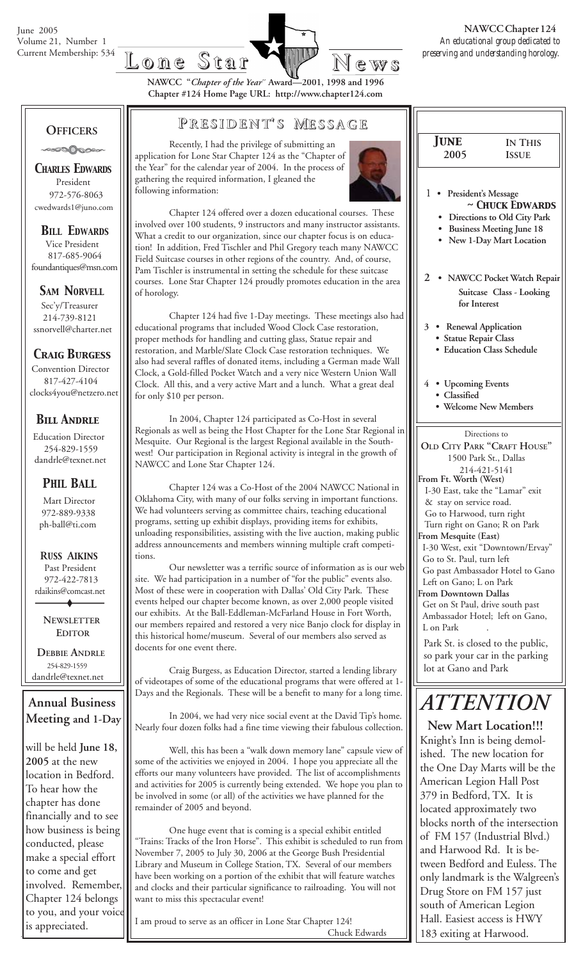

**NAWCC "***Chapter of the Year***" Award—2001, 1998 and 1996 Chapter #124 Home Page URL: http://www.chapter124.com**

 *June* **2005**

**IN THIS ISSUE**

### **OFFICERS**

ಿಂ⊘∆ಿಂ

*CHARLES EDWARDS* President 972-576-8063 cwedwards1@juno.com

### *BILL EDWARDS*

 Vice President 817-685-9064 foundantiques@msn.com

#### **SAM NORVELL**

 Sec'y/Treasurer 214-739-8121 ssnorvell@charter.net

### *Craig Burgess*

 Convention Director 817-427-4104 clocks4you@netzero.net

### *Bill Andrle*

 Education Director 254-829-1559 dandrle@texnet.net

### *PHIL BALL*

 Mart Director 972-889-9338 ph-ball@ti.com

 **R***USS* **A***IKINS* Past President 972-422-7813 rdaikins@comcast.net

> **NEWSLETTER EDITOR**

 **DEBBIE ANDRLE** 254-829-1559 dandrle@texnet.net

**Annual Business Meeting and 1-Day**

will be held **June 18, 2005** at the new location in Bedford. To hear how the chapter has done financially and to see how business is being conducted, please make a special effort to come and get involved. Remember, Chapter 124 belongs to you, and your voice is appreciated.

### **P RESIDENT RESIDENT' S M ESSAGE**

Recently, I had the privilege of submitting an application for Lone Star Chapter 124 as the "Chapter of the Year" for the calendar year of 2004. In the process of gathering the required information, I gleaned the following information:



Chapter 124 offered over a dozen educational courses. These involved over 100 students, 9 instructors and many instructor assistants. What a credit to our organization, since our chapter focus is on education! In addition, Fred Tischler and Phil Gregory teach many NAWCC Field Suitcase courses in other regions of the country. And, of course, Pam Tischler is instrumental in setting the schedule for these suitcase courses. Lone Star Chapter 124 proudly promotes education in the area of horology.

Chapter 124 had five 1-Day meetings. These meetings also had educational programs that included Wood Clock Case restoration, proper methods for handling and cutting glass, Statue repair and restoration, and Marble/Slate Clock Case restoration techniques. We also had several raffles of donated items, including a German made Wall Clock, a Gold-filled Pocket Watch and a very nice Western Union Wall Clock. All this, and a very active Mart and a lunch. What a great deal for only \$10 per person.

In 2004, Chapter 124 participated as Co-Host in several Regionals as well as being the Host Chapter for the Lone Star Regional in Mesquite. Our Regional is the largest Regional available in the Southwest! Our participation in Regional activity is integral in the growth of NAWCC and Lone Star Chapter 124.

Chapter 124 was a Co-Host of the 2004 NAWCC National in Oklahoma City, with many of our folks serving in important functions. We had volunteers serving as committee chairs, teaching educational programs, setting up exhibit displays, providing items for exhibits, unloading responsibilities, assisting with the live auction, making public address announcements and members winning multiple craft competitions.

Our newsletter was a terrific source of information as is our web site. We had participation in a number of "for the public" events also. Most of these were in cooperation with Dallas' Old City Park. These events helped our chapter become known, as over 2,000 people visited our exhibits. At the Ball-Eddleman-McFarland House in Fort Worth, our members repaired and restored a very nice Banjo clock for display in this historical home/museum. Several of our members also served as docents for one event there.

Craig Burgess, as Education Director, started a lending library of videotapes of some of the educational programs that were offered at 1- Days and the Regionals. These will be a benefit to many for a long time.

In 2004, we had very nice social event at the David Tip's home. Nearly four dozen folks had a fine time viewing their fabulous collection.

Well, this has been a "walk down memory lane" capsule view of some of the activities we enjoyed in 2004. I hope you appreciate all the efforts our many volunteers have provided. The list of accomplishments and activities for 2005 is currently being extended. We hope you plan to be involved in some (or all) of the activities we have planned for the remainder of 2005 and beyond.

One huge event that is coming is a special exhibit entitled "Trains: Tracks of the Iron Horse". This exhibit is scheduled to run from November 7, 2005 to July 30, 2006 at the George Bush Presidential Library and Museum in College Station, TX. Several of our members have been working on a portion of the exhibit that will feature watches and clocks and their particular significance to railroading. You will not want to miss this spectacular event!

I am proud to serve as an officer in Lone Star Chapter 124! Chuck Edwards

Directions to **OLD CITY PARK "CRAFT HOUSE"** 1500 Park St., Dallas 214-421-5141 **From Ft. Worth (West)** I-30 East, take the "Lamar" exit 1 **• President's Message** *~ Chuck Edwards*  **• Directions to Old City Park • Business Meeting June 18 • New 1-Day Mart Location 2 • NAWCC Pocket Watch Repair Suitcase Class - Looking for Interest 3 • Renewal Application • Statue Repair Class • Education Class Schedule 4 • Upcoming Events • Classified • Welcome New Members**

 & stay on service road. Go to Harwood, turn right Turn right on Gano; R on Park **From Mesquite (East)** I-30 West, exit "Downtown/Ervay"

 Go to St. Paul, turn left Go past Ambassador Hotel to Gano

 Left on Gano; L on Park **From Downtown Dallas**

 Get on St Paul, drive south past Ambassador Hotel; left on Gano, L on Park

Park St. is closed to the public, so park your car in the parking lot at Gano and Park

# *ATTENTION*

 **New Mart Location!!!** Knight's Inn is being demolished. The new location for the One Day Marts will be the American Legion Hall Post 379 in Bedford, TX. It is located approximately two blocks north of the intersection of FM 157 (Industrial Blvd.) and Harwood Rd. It is between Bedford and Euless. The only landmark is the Walgreen's Drug Store on FM 157 just south of American Legion Hall. Easiest access is HWY 183 exiting at Harwood.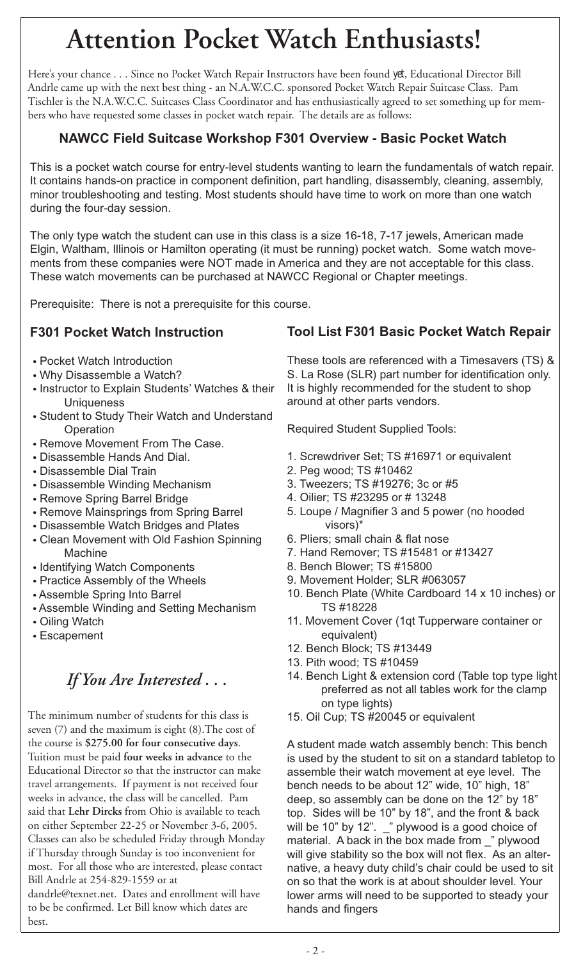# **Attention Pocket Watch Enthusiasts!**

Here's your chance . . . Since no Pocket Watch Repair Instructors have been found *yet*, Educational Director Bill Andrle came up with the next best thing - an N.A.W.C.C. sponsored Pocket Watch Repair Suitcase Class. Pam Tischler is the N.A.W.C.C. Suitcases Class Coordinator and has enthusiastically agreed to set something up for members who have requested some classes in pocket watch repair. The details are as follows:

### **NAWCC Field Suitcase Workshop F301 Overview - Basic Pocket Watch**

This is a pocket watch course for entry-level students wanting to learn the fundamentals of watch repair. It contains hands-on practice in component definition, part handling, disassembly, cleaning, assembly, minor troubleshooting and testing. Most students should have time to work on more than one watch during the four-day session.

The only type watch the student can use in this class is a size 16-18, 7-17 jewels, American made Elgin, Waltham, Illinois or Hamilton operating (it must be running) pocket watch. Some watch movements from these companies were NOT made in America and they are not acceptable for this class. These watch movements can be purchased at NAWCC Regional or Chapter meetings.

Prerequisite: There is not a prerequisite for this course.

### **F301 Pocket Watch Instruction**

- **•** Pocket Watch Introduction
- **•** Why Disassemble a Watch?
- **•** Instructor to Explain Students' Watches & their **Uniqueness**
- **•** Student to Study Their Watch and Understand **Operation**
- **•** Remove Movement From The Case.
- **•** Disassemble Hands And Dial.
- **•** Disassemble Dial Train
- **•** Disassemble Winding Mechanism
- **•** Remove Spring Barrel Bridge
- **•** Remove Mainsprings from Spring Barrel
- **•** Disassemble Watch Bridges and Plates
- **•** Clean Movement with Old Fashion Spinning Machine
- **•** Identifying Watch Components
- **•** Practice Assembly of the Wheels
- **•** Assemble Spring Into Barrel
- **•** Assemble Winding and Setting Mechanism
- **•** Oiling Watch
- **•** Escapement

## *If You Are Interested . . .*

The minimum number of students for this class is seven (7) and the maximum is eight (8).The cost of the course is **\$275.00 for four consecutive days**. Tuition must be paid **four weeks in advance** to the Educational Director so that the instructor can make travel arrangements. If payment is not received four weeks in advance, the class will be cancelled. Pam said that **Lehr Dircks** from Ohio is available to teach on either September 22-25 or November 3-6, 2005. Classes can also be scheduled Friday through Monday if Thursday through Sunday is too inconvenient for most. For all those who are interested, please contact Bill Andrle at 254-829-1559 or at

dandrle@texnet.net. Dates and enrollment will have to be be confirmed. Let Bill know which dates are best.

### **Tool List F301 Basic Pocket Watch Repair**

These tools are referenced with a Timesavers (TS) & S. La Rose (SLR) part number for identification only. It is highly recommended for the student to shop around at other parts vendors.

Required Student Supplied Tools:

- 1. Screwdriver Set; TS #16971 or equivalent
- 2. Peg wood; TS #10462
- 3. Tweezers; TS #19276; 3c or #5
- 4. Oilier; TS #23295 or # 13248
- 5. Loupe / Magnifier 3 and 5 power (no hooded visors)\*
- 6. Pliers; small chain & flat nose
- 7. Hand Remover; TS #15481 or #13427
- 8. Bench Blower; TS #15800
- 9. Movement Holder; SLR #063057
- 10. Bench Plate (White Cardboard 14 x 10 inches) or TS #18228
- 11. Movement Cover (1qt Tupperware container or equivalent)
- 12. Bench Block; TS #13449
- 13. Pith wood; TS #10459
- 14. Bench Light & extension cord (Table top type light preferred as not all tables work for the clamp on type lights)
- 15. Oil Cup; TS #20045 or equivalent

A student made watch assembly bench: This bench is used by the student to sit on a standard tabletop to assemble their watch movement at eye level. The bench needs to be about 12" wide, 10" high, 18" deep, so assembly can be done on the 12" by 18" top. Sides will be 10" by 18", and the front & back will be 10" by 12".  $\mathbb{Z}$ " plywood is a good choice of material. A back in the box made from " plywood will give stability so the box will not flex. As an alternative, a heavy duty child's chair could be used to sit on so that the work is at about shoulder level. Your lower arms will need to be supported to steady your hands and fingers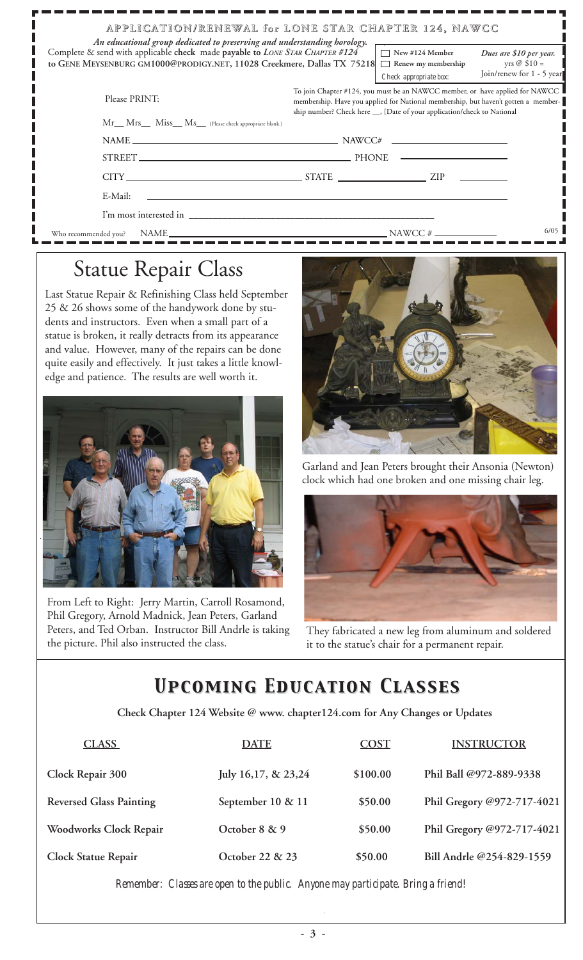| An educational group dedicated to preserving and understanding horology.                                                                                | APPLICATION/RENEWAL for LONE STAR CHAPTER 124, NAWCC                                                                                                                                                                                           |
|---------------------------------------------------------------------------------------------------------------------------------------------------------|------------------------------------------------------------------------------------------------------------------------------------------------------------------------------------------------------------------------------------------------|
| Complete & send with applicable check made payable to LONE STAR CHAPTER #124<br>to GENE MEYSENBURG GM1000@PRODIGY.NET, 11028 Creekmere, Dallas TX 75218 | $\Box$ New #124 Member<br>Dues are \$10 per year.<br>yrs @ $$10 =$<br>Renew my membership<br>$\mathcal{L}$<br>Join/renew for 1 - 5 years<br>Check appropriate box:                                                                             |
| Please PRINT:                                                                                                                                           | To join Chapter #124, you must be an NAWCC member, or have applied for NAWCC<br>membership. Have you applied for National membership, but haven't gotten a member-<br>ship number? Check here ___, [Date of your application/check to National |
| Mr Mrs Miss Ms (Please check appropriate blank.)                                                                                                        |                                                                                                                                                                                                                                                |
|                                                                                                                                                         |                                                                                                                                                                                                                                                |
|                                                                                                                                                         | STREET.                                                                                                                                                                                                                                        |
|                                                                                                                                                         |                                                                                                                                                                                                                                                |
| E-Mail:                                                                                                                                                 | <u> 1989 - John Stone, amerikansk politiker (d. 1989)</u>                                                                                                                                                                                      |
| I'm most interested in                                                                                                                                  |                                                                                                                                                                                                                                                |
| Who recommended you?                                                                                                                                    | 6/05<br>NAME                                                                                                                                                                                                                                   |

## Statue Repair Class

Last Statue Repair & Refinishing Class held September 25 & 26 shows some of the handywork done by students and instructors. Even when a small part of a statue is broken, it really detracts from its appearance and value. However, many of the repairs can be done quite easily and effectively. It just takes a little knowledge and patience. The results are well worth it.



From Left to Right: Jerry Martin, Carroll Rosamond, Phil Gregory, Arnold Madnick, Jean Peters, Garland Peters, and Ted Orban. Instructor Bill Andrle is taking the picture. Phil also instructed the class.



Garland and Jean Peters brought their Ansonia (Newton) clock which had one broken and one missing chair leg.



They fabricated a new leg from aluminum and soldered it to the statue's chair for a permanent repair.

## *Upcoming Education Classes Upcoming Education Classes*

 **Check Chapter 124 Website @ www. chapter124.com for Any Changes or Updates**

| <b>CLASS</b>                   | <b>DATE</b>         | <b>COST</b> | <b>INSTRUCTOR</b>          |
|--------------------------------|---------------------|-------------|----------------------------|
| Clock Repair 300               | July 16,17, & 23,24 | \$100.00    | Phil Ball @972-889-9338    |
| <b>Reversed Glass Painting</b> | September 10 & 11   | \$50.00     | Phil Gregory @972-717-4021 |
| Woodworks Clock Repair         | October 8 & 9       | \$50.00     | Phil Gregory @972-717-4021 |
| <b>Clock Statue Repair</b>     | October 22 & 23     | \$50.00     | Bill Andrle @254-829-1559  |

*Remember: Classes are open to the public. Anyone may participate. Bring a friend!*